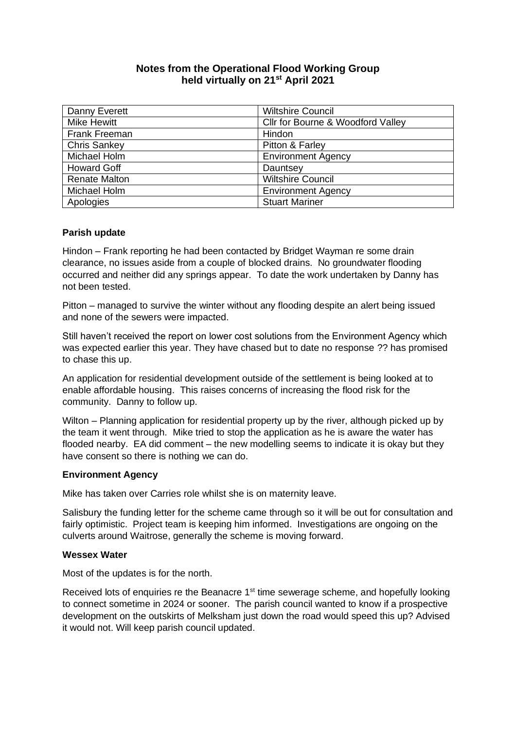# **Notes from the Operational Flood Working Group held virtually on 21st April 2021**

| Danny Everett        | <b>Wiltshire Council</b>          |
|----------------------|-----------------------------------|
| <b>Mike Hewitt</b>   | Cllr for Bourne & Woodford Valley |
| <b>Frank Freeman</b> | Hindon                            |
| Chris Sankey         | Pitton & Farley                   |
| Michael Holm         | <b>Environment Agency</b>         |
| <b>Howard Goff</b>   | Dauntsey                          |
| <b>Renate Malton</b> | <b>Wiltshire Council</b>          |
| Michael Holm         | <b>Environment Agency</b>         |
| Apologies            | <b>Stuart Mariner</b>             |

### **Parish update**

Hindon – Frank reporting he had been contacted by Bridget Wayman re some drain clearance, no issues aside from a couple of blocked drains. No groundwater flooding occurred and neither did any springs appear. To date the work undertaken by Danny has not been tested.

Pitton – managed to survive the winter without any flooding despite an alert being issued and none of the sewers were impacted.

Still haven't received the report on lower cost solutions from the Environment Agency which was expected earlier this year. They have chased but to date no response ?? has promised to chase this up.

An application for residential development outside of the settlement is being looked at to enable affordable housing. This raises concerns of increasing the flood risk for the community. Danny to follow up.

Wilton – Planning application for residential property up by the river, although picked up by the team it went through. Mike tried to stop the application as he is aware the water has flooded nearby. EA did comment – the new modelling seems to indicate it is okay but they have consent so there is nothing we can do.

## **Environment Agency**

Mike has taken over Carries role whilst she is on maternity leave.

Salisbury the funding letter for the scheme came through so it will be out for consultation and fairly optimistic. Project team is keeping him informed. Investigations are ongoing on the culverts around Waitrose, generally the scheme is moving forward.

### **Wessex Water**

Most of the updates is for the north.

Received lots of enquiries re the Beanacre 1<sup>st</sup> time sewerage scheme, and hopefully looking to connect sometime in 2024 or sooner. The parish council wanted to know if a prospective development on the outskirts of Melksham just down the road would speed this up? Advised it would not. Will keep parish council updated.